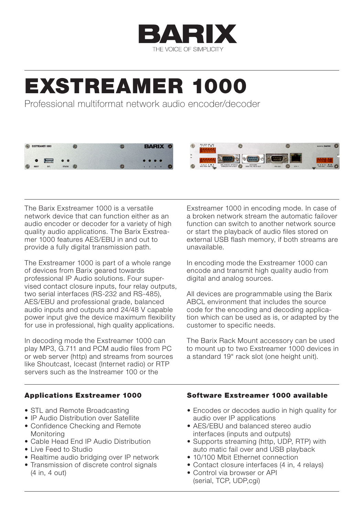

# EXSTREAMER 1000

Professional multiformat network audio encoder/decoder



The Barix Exstreamer 1000 is a versatile network device that can function either as an audio encoder or decoder for a variety of high quality audio applications. The Barix Exstreamer 1000 features AES/EBU in and out to provide a fully digital transmission path.

The Exstreamer 1000 is part of a whole range of devices from Barix geared towards professional IP Audio solutions. Four supervised contact closure inputs, four relay outputs, two serial interfaces (RS-232 and RS-485), AES/EBU and professional grade, balanced audio inputs and outputs and 24/48 V capable power input give the device maximum flexibility for use in professional, high quality applications.

In decoding mode the Exstreamer 1000 can play MP3, G.711 and PCM audio files from PC or web server (http) and streams from sources like Shoutcast, Icecast (Internet radio) or RTP servers such as the Instreamer 100 or the

Exstreamer 1000 in encoding mode. In case of a broken network stream the automatic failover function can switch to another network source or start the playback of audio files stored on external USB flash memory, if both streams are unavailable.

In encoding mode the Exstreamer 1000 can encode and transmit high quality audio from digital and analog sources.

All devices are programmable using the Barix ABCL environment that includes the source code for the encoding and decoding application which can be used as is, or adapted by the customer to specific needs.

The Barix Rack Mount accessory can be used to mount up to two Exstreamer 1000 devices in a standard 19" rack slot (one height unit).

### Applications Exstreamer 1000

- STL and Remote Broadcasting
- • IP Audio Distribution over Satellite • Confidence Checking and Remote
- Monitoring
- • Cable Head End IP Audio Distribution
- • Live Feed to Studio
- Realtime audio bridging over IP network
- Transmission of discrete control signals (4 in, 4 out)

### Software Exstreamer 1000 available

- Encodes or decodes audio in high quality for audio over IP applications
- AFS/FBU and balanced stereo audio interfaces (inputs and outputs)
- Supports streaming (http, UDP, RTP) with auto matic fail over and USB playback
- 10/100 Mbit Ethernet connection
- Contact closure interfaces (4 in, 4 relays)
- • Control via browser or API (serial, TCP, UDP,cgi)